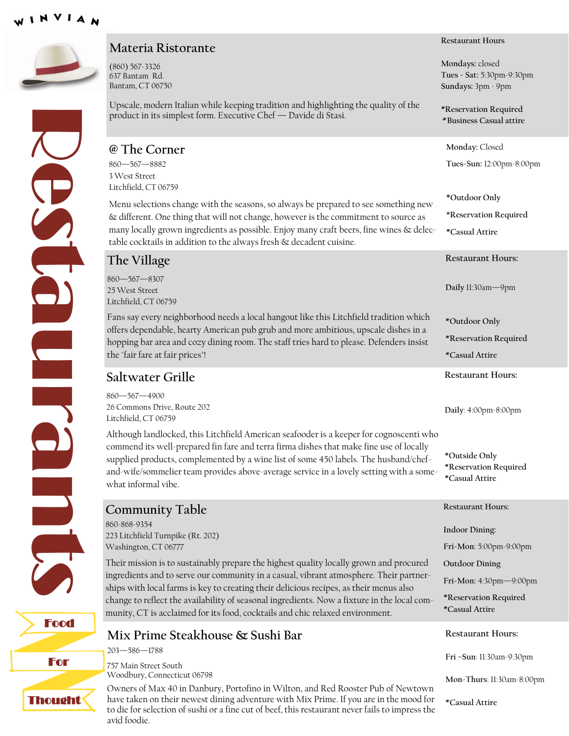

#### **Materia Ristorante**

(860) 567-3326 637 Bantam Rd. Bantam, CT 06750

Upscale, modern Italian while keeping tradition and highlighting the quality of the Residues de product in its simplest form. Executive Chef — Davide di Stasi. **@ The Corner** 860—567—8882  $\mathbf{P}$ 

Food

For

Thought

#### **Saltwater Grille** 860—567—4900 26 Commons Drive, Route 202 Litchfield, CT 06759 Although landlocked, this Litchfield American seafooder is a keeper for cognoscenti who commend its well-prepared fin fare and terra firma dishes that make fine use of locally supplied products, complemented by a wine list of some 450 labels. The husband/chefand-wife/sommelier team provides above-average service in a lovely setting with a somewhat informal vibe. **Restaurant Hours: Daily**: 4:00pm-8:00pm **\*Outside Only \*Reservation Required \*Casual Attire The Village** 860—567—8307 25 West Street Litchfield, CT 06759 Fans say every neighborhood needs a local hangout like this Litchfield tradition which offers dependable, hearty American pub grub and more ambitious, upscale dishes in a hopping bar area and cozy dining room. The staff tries hard to please. Defenders insist the "fair fare at fair prices"! **Restaurant Hours: Daily** 11:30am—9pm **\*Outdoor Only \*Reservation Required \*Casual Attire** 3 West Street Litchfield, CT 06759 Menu selections change with the seasons, so always be prepared to see something new & different. One thing that will not change, however is the commitment to source as many locally grown ingredients as possible. Enjoy many craft beers, fine wines & delectable cocktails in addition to the always fresh & decadent cuisine. **\*Outdoor Only** \***Reservation Required \*Casual Attire Community Table**  860-868-9354 223 Litchfield Turnpike (Rt. 202) Washington, CT 06777 Their mission is to sustainably prepare the highest quality locally grown and procured ingredients and to serve our community in a casual, vibrant atmosphere. Their partnerships with local farms is key to creating their delicious recipes, as their menus also change to reflect the availability of seasonal ingredients. Now a fixture in the local community, CT is acclaimed for its food, cocktails and chic relaxed environment. **Restaurant Hours: Indoor Dining: Fri-Mon**: 5:00pm-9:00pm **Outdoor Dining Fri-Mon:** 4:30pm—9:00pm **\*Reservation Required \*Casual Attire Mix Prime Steakhouse & Sushi Bar** 203—586—1788 757 Main Street South Woodbury, Connecticut 06798 **Restaurant Hours: Fri –Sun**: 11:30am-9:30pm **Mon-Thurs**: 11:30am-8:00pm

Owners of Max 40 in Danbury, Portofino in Wilton, and Red Rooster Pub of Newtown have taken on their newest dining adventure with Mix Prime. If you are in the mood for to die for selection of sushi or a fine cut of beef, this restaurant never fails to impress the avid foodie.

#### **Restaurant Hours**

**Mondays:** closed

**Tues - Sat:** 5:30pm-9:30pm **Sundays:** 3pm - 9pm

**\*Reservation Required \* Business Casual attire**

**Monday:** Closed

**Tues-Sun:** 12:00pm-8:00pm

**\*Casual Attire**